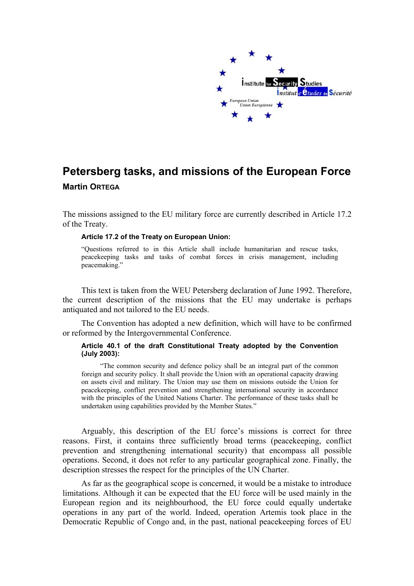

## **Petersberg tasks, and missions of the European Force Martin ORTEGA**

The missions assigned to the EU military force are currently described in Article 17.2 of the Treaty.

## **Article 17.2 of the Treaty on European Union:**

"Questions referred to in this Article shall include humanitarian and rescue tasks, peacekeeping tasks and tasks of combat forces in crisis management, including peacemaking."

This text is taken from the WEU Petersberg declaration of June 1992. Therefore, the current description of the missions that the EU may undertake is perhaps antiquated and not tailored to the EU needs.

The Convention has adopted a new definition, which will have to be confirmed or reformed by the Intergovernmental Conference.

## **Article 40.1 of the draft Constitutional Treaty adopted by the Convention (July 2003):**

"The common security and defence policy shall be an integral part of the common foreign and security policy. It shall provide the Union with an operational capacity drawing on assets civil and military. The Union may use them on missions outside the Union for peacekeeping, conflict prevention and strengthening international security in accordance with the principles of the United Nations Charter. The performance of these tasks shall be undertaken using capabilities provided by the Member States."

Arguably, this description of the EU force's missions is correct for three reasons. First, it contains three sufficiently broad terms (peacekeeping, conflict prevention and strengthening international security) that encompass all possible operations. Second, it does not refer to any particular geographical zone. Finally, the description stresses the respect for the principles of the UN Charter.

As far as the geographical scope is concerned, it would be a mistake to introduce limitations. Although it can be expected that the EU force will be used mainly in the European region and its neighbourhood, the EU force could equally undertake operations in any part of the world. Indeed, operation Artemis took place in the Democratic Republic of Congo and, in the past, national peacekeeping forces of EU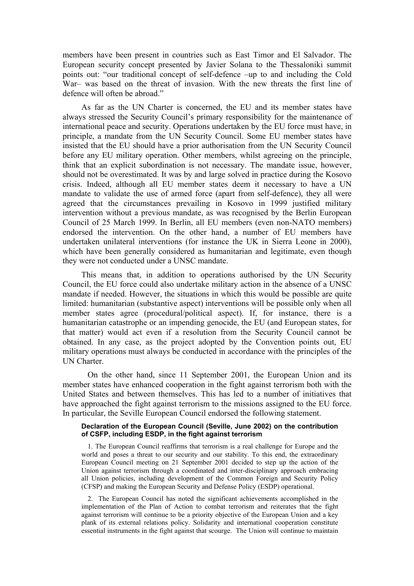members have been present in countries such as East Timor and El Salvador. The European security concept presented by Javier Solana to the Thessaloniki summit points out: "our traditional concept of self-defence –up to and including the Cold War– was based on the threat of invasion. With the new threats the first line of defence will often be abroad."

As far as the UN Charter is concerned, the EU and its member states have always stressed the Security Council's primary responsibility for the maintenance of international peace and security. Operations undertaken by the EU force must have, in principle, a mandate from the UN Security Council. Some EU member states have insisted that the EU should have a prior authorisation from the UN Security Council before any EU military operation. Other members, whilst agreeing on the principle, think that an explicit subordination is not necessary. The mandate issue, however, should not be overestimated. It was by and large solved in practice during the Kosovo crisis. Indeed, although all EU member states deem it necessary to have a UN mandate to validate the use of armed force (apart from self-defence), they all were agreed that the circumstances prevailing in Kosovo in 1999 justified military intervention without a previous mandate, as was recognised by the Berlin European Council of 25 March 1999. In Berlin, all EU members (even non-NATO members) endorsed the intervention. On the other hand, a number of EU members have undertaken unilateral interventions (for instance the UK in Sierra Leone in 2000), which have been generally considered as humanitarian and legitimate, even though they were not conducted under a UNSC mandate.

This means that, in addition to operations authorised by the UN Security Council, the EU force could also undertake military action in the absence of a UNSC mandate if needed. However, the situations in which this would be possible are quite limited: humanitarian (substantive aspect) interventions will be possible only when all member states agree (procedural/political aspect). If, for instance, there is a humanitarian catastrophe or an impending genocide, the EU (and European states, for that matter) would act even if a resolution from the Security Council cannot be obtained. In any case, as the project adopted by the Convention points out, EU military operations must always be conducted in accordance with the principles of the UN Charter.

On the other hand, since 11 September 2001, the European Union and its member states have enhanced cooperation in the fight against terrorism both with the United States and between themselves. This has led to a number of initiatives that have approached the fight against terrorism to the missions assigned to the EU force. In particular, the Seville European Council endorsed the following statement.

## **Declaration of the European Council (Seville, June 2002) on the contribution of CSFP, including ESDP, in the fight against terrorism**

1. The European Council reaffirms that terrorism is a real challenge for Europe and the world and poses a threat to our security and our stability. To this end, the extraordinary European Council meeting on 21 September 2001 decided to step up the action of the Union against terrorism through a coordinated and inter-disciplinary approach embracing all Union policies, including development of the Common Foreign and Security Policy (CFSP) and making the European Security and Defense Policy (ESDP) operational.

2. The European Council has noted the significant achievements accomplished in the implementation of the Plan of Action to combat terrorism and reiterates that the fight against terrorism will continue to be a priority objective of the European Union and a key plank of its external relations policy. Solidarity and international cooperation constitute essential instruments in the fight against that scourge. The Union will continue to maintain